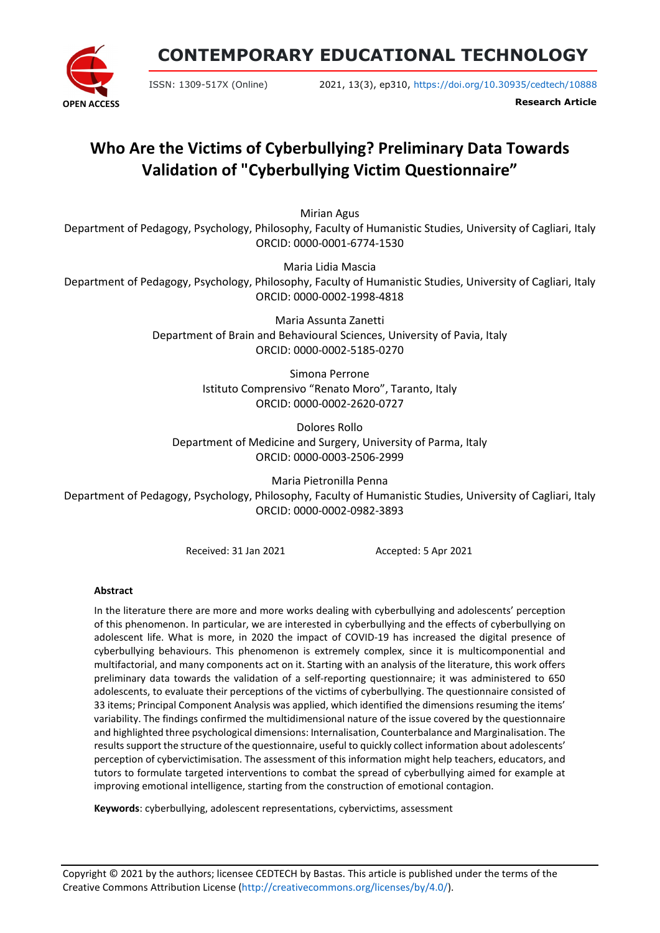

**CONTEMPORARY EDUCATIONAL TECHNOLOGY**

ISSN: 1309-517X (Online) 2021, 13(3), ep310, <https://doi.org/10.30935/cedtech/10888>

**Research Article**

# **Who Are the Victims of Cyberbullying? Preliminary Data Towards Validation of "Cyberbullying Victim Questionnaire"**

Mirian Agus

Department of Pedagogy, Psychology, Philosophy, Faculty of Humanistic Studies, University of Cagliari, Italy ORCID: 0000-0001-6774-1530

Maria Lidia Mascia Department of Pedagogy, Psychology, Philosophy, Faculty of Humanistic Studies, University of Cagliari, Italy ORCID: 0000-0002-1998-4818

> Maria Assunta Zanetti Department of Brain and Behavioural Sciences, University of Pavia, Italy ORCID: 0000-0002-5185-0270

> > Simona Perrone Istituto Comprensivo "Renato Moro", Taranto, Italy ORCID: 0000-0002-2620-0727

Dolores Rollo Department of Medicine and Surgery, University of Parma, Italy ORCID: 0000-0003-2506-2999

Maria Pietronilla Penna Department of Pedagogy, Psychology, Philosophy, Faculty of Humanistic Studies, University of Cagliari, Italy ORCID: 0000-0002-0982-3893

Received: 31 Jan 2021 Accepted: 5 Apr 2021

# **Abstract**

In the literature there are more and more works dealing with cyberbullying and adolescents' perception of this phenomenon. In particular, we are interested in cyberbullying and the effects of cyberbullying on adolescent life. What is more, in 2020 the impact of COVID-19 has increased the digital presence of cyberbullying behaviours. This phenomenon is extremely complex, since it is multicomponential and multifactorial, and many components act on it. Starting with an analysis of the literature, this work offers preliminary data towards the validation of a self-reporting questionnaire; it was administered to 650 adolescents, to evaluate their perceptions of the victims of cyberbullying. The questionnaire consisted of 33 items; Principal Component Analysis was applied, which identified the dimensions resuming the items' variability. The findings confirmed the multidimensional nature of the issue covered by the questionnaire and highlighted three psychological dimensions: Internalisation, Counterbalance and Marginalisation. The resultssupport the structure of the questionnaire, useful to quickly collect information about adolescents' perception of cybervictimisation. The assessment of this information might help teachers, educators, and tutors to formulate targeted interventions to combat the spread of cyberbullying aimed for example at improving emotional intelligence, starting from the construction of emotional contagion.

**Keywords**: cyberbullying, adolescent representations, cybervictims, assessment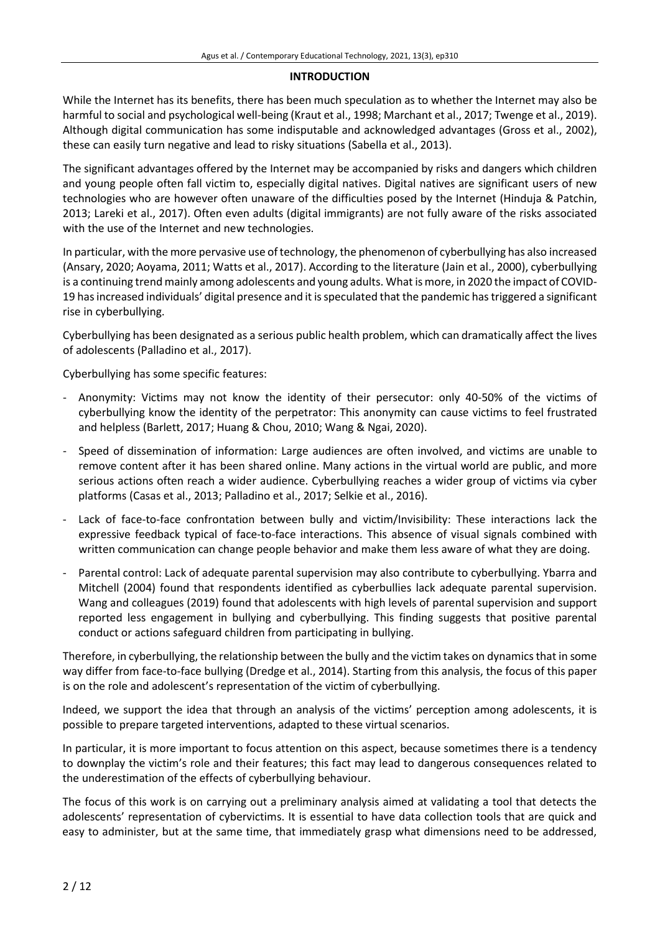#### **INTRODUCTION**

While the Internet has its benefits, there has been much speculation as to whether the Internet may also be harmful to social and psychological well-being (Kraut et al., 1998; Marchant et al., 2017; Twenge et al., 2019). Although digital communication has some indisputable and acknowledged advantages (Gross et al., 2002), these can easily turn negative and lead to risky situations (Sabella et al., 2013).

The significant advantages offered by the Internet may be accompanied by risks and dangers which children and young people often fall victim to, especially digital natives. Digital natives are significant users of new technologies who are however often unaware of the difficulties posed by the Internet (Hinduja & Patchin, 2013; Lareki et al., 2017). Often even adults (digital immigrants) are not fully aware of the risks associated with the use of the Internet and new technologies.

In particular, with the more pervasive use oftechnology, the phenomenon of cyberbullying has also increased (Ansary, 2020; Aoyama, 2011; Watts et al., 2017). According to the literature (Jain et al., 2000), cyberbullying is a continuing trend mainly among adolescents and young adults. What is more, in 2020 the impact of COVID-19 hasincreased individuals' digital presence and it isspeculated that the pandemic hastriggered a significant rise in cyberbullying.

Cyberbullying has been designated as a serious public health problem, which can dramatically affect the lives of adolescents (Palladino et al., 2017).

Cyberbullying has some specific features:

- Anonymity: Victims may not know the identity of their persecutor: only 40-50% of the victims of cyberbullying know the identity of the perpetrator: This anonymity can cause victims to feel frustrated and helpless (Barlett, 2017; Huang & Chou, 2010; Wang & Ngai, 2020).
- Speed of dissemination of information: Large audiences are often involved, and victims are unable to remove content after it has been shared online. Many actions in the virtual world are public, and more serious actions often reach a wider audience. Cyberbullying reaches a wider group of victims via cyber platforms (Casas et al., 2013; Palladino et al., 2017; Selkie et al., 2016).
- Lack of face-to-face confrontation between bully and victim/Invisibility: These interactions lack the expressive feedback typical of face-to-face interactions. This absence of visual signals combined with written communication can change people behavior and make them less aware of what they are doing.
- Parental control: Lack of adequate parental supervision may also contribute to cyberbullying. Ybarra and Mitchell (2004) found that respondents identified as cyberbullies lack adequate parental supervision. Wang and colleagues (2019) found that adolescents with high levels of parental supervision and support reported less engagement in bullying and cyberbullying. This finding suggests that positive parental conduct or actions safeguard children from participating in bullying.

Therefore, in cyberbullying, the relationship between the bully and the victim takes on dynamicsthat in some way differ from face-to-face bullying (Dredge et al., 2014). Starting from this analysis, the focus of this paper is on the role and adolescent's representation of the victim of cyberbullying.

Indeed, we support the idea that through an analysis of the victims' perception among adolescents, it is possible to prepare targeted interventions, adapted to these virtual scenarios.

In particular, it is more important to focus attention on this aspect, because sometimes there is a tendency to downplay the victim's role and their features; this fact may lead to dangerous consequences related to the underestimation of the effects of cyberbullying behaviour.

The focus of this work is on carrying out a preliminary analysis aimed at validating a tool that detects the adolescents' representation of cybervictims. It is essential to have data collection tools that are quick and easy to administer, but at the same time, that immediately grasp what dimensions need to be addressed,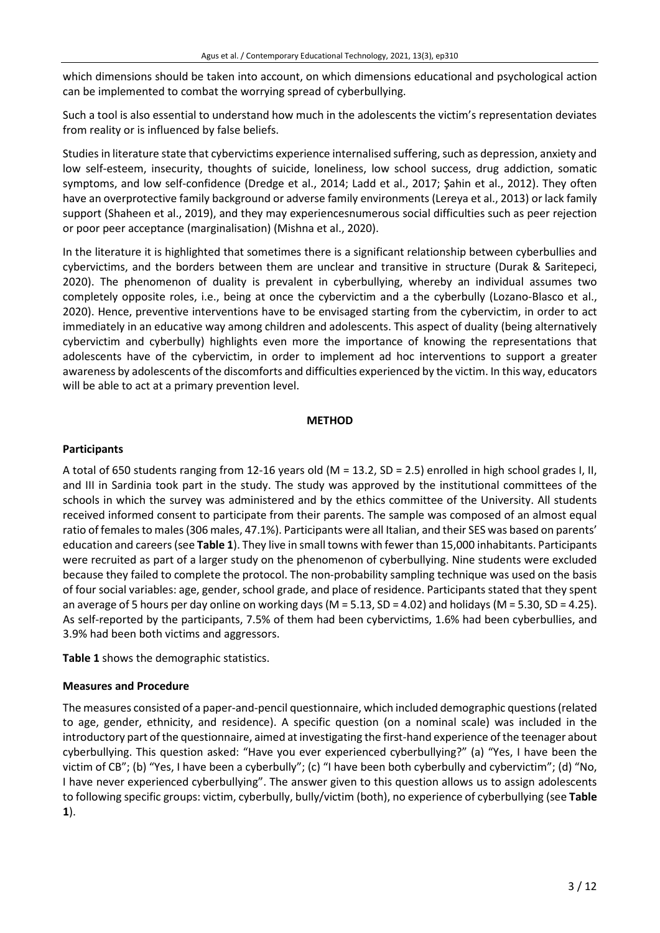which dimensions should be taken into account, on which dimensions educational and psychological action can be implemented to combat the worrying spread of cyberbullying.

Such a tool is also essential to understand how much in the adolescents the victim's representation deviates from reality or is influenced by false beliefs.

Studies in literature state that cybervictims experience internalised suffering, such as depression, anxiety and low self-esteem, insecurity, thoughts of suicide, loneliness, low school success, drug addiction, somatic symptoms, and low self-confidence (Dredge et al., 2014; Ladd et al., 2017; Şahin et al., 2012). They often have an overprotective family background or adverse family environments (Lereya et al., 2013) or lack family support (Shaheen et al., 2019), and they may experiencesnumerous social difficulties such as peer rejection or poor peer acceptance (marginalisation) (Mishna et al., 2020).

In the literature it is highlighted that sometimes there is a significant relationship between cyberbullies and cybervictims, and the borders between them are unclear and transitive in structure (Durak & Saritepeci, 2020). The phenomenon of duality is prevalent in cyberbullying, whereby an individual assumes two completely opposite roles, i.e., being at once the cybervictim and a the cyberbully (Lozano-Blasco et al., 2020). Hence, preventive interventions have to be envisaged starting from the cybervictim, in order to act immediately in an educative way among children and adolescents. This aspect of duality (being alternatively cybervictim and cyberbully) highlights even more the importance of knowing the representations that adolescents have of the cybervictim, in order to implement ad hoc interventions to support a greater awareness by adolescents of the discomforts and difficulties experienced by the victim. In this way, educators will be able to act at a primary prevention level.

## **METHOD**

# **Participants**

A total of 650 students ranging from 12-16 years old (M = 13.2, SD = 2.5) enrolled in high school grades I, II, and III in Sardinia took part in the study. The study was approved by the institutional committees of the schools in which the survey was administered and by the ethics committee of the University. All students received informed consent to participate from their parents. The sample was composed of an almost equal ratio of females to males (306 males, 47.1%). Participants were all Italian, and their SES was based on parents' education and careers(see **Table 1**). They live in small towns with fewer than 15,000 inhabitants. Participants were recruited as part of a larger study on the phenomenon of cyberbullying. Nine students were excluded because they failed to complete the protocol. The non-probability sampling technique was used on the basis of four social variables: age, gender, school grade, and place of residence. Participants stated that they spent an average of 5 hours per day online on working days ( $M = 5.13$ , SD = 4.02) and holidays ( $M = 5.30$ , SD = 4.25). As self-reported by the participants, 7.5% of them had been cybervictims, 1.6% had been cyberbullies, and 3.9% had been both victims and aggressors.

**Table 1** shows the demographic statistics.

# **Measures and Procedure**

The measures consisted of a paper-and-pencil questionnaire, which included demographic questions(related to age, gender, ethnicity, and residence). A specific question (on a nominal scale) was included in the introductory part of the questionnaire, aimed at investigating the first-hand experience ofthe teenager about cyberbullying. This question asked: "Have you ever experienced cyberbullying?" (a) "Yes, I have been the victim of CB"; (b) "Yes, I have been a cyberbully"; (c) "I have been both cyberbully and cybervictim"; (d) "No, I have never experienced cyberbullying". The answer given to this question allows us to assign adolescents to following specific groups: victim, cyberbully, bully/victim (both), no experience of cyberbullying (see **Table 1**).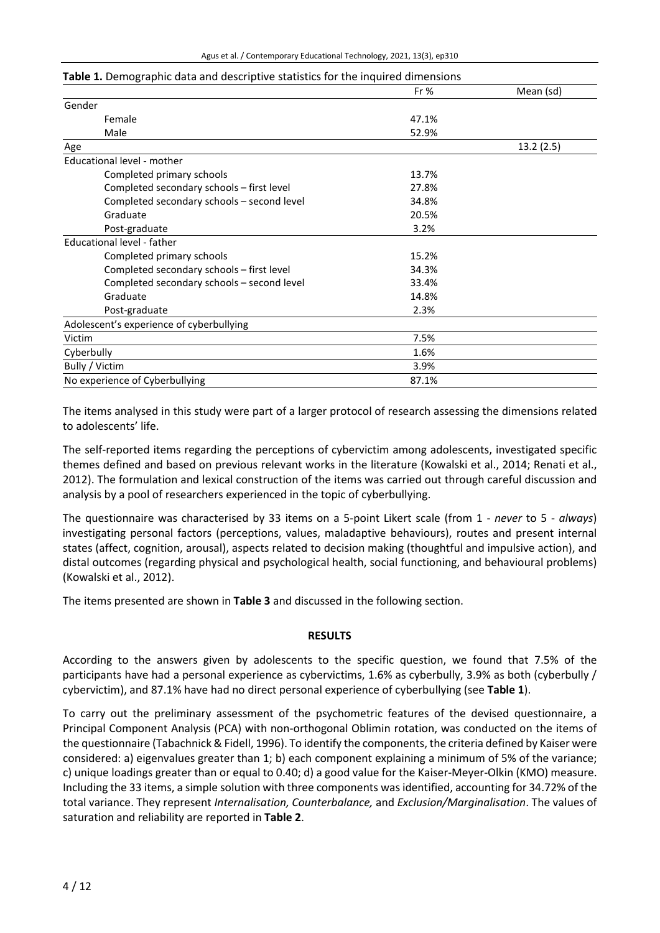#### **Table 1.** Demographic data and descriptive statistics for the inquired dimensions

|                                            | Fr $%$ | Mean (sd) |
|--------------------------------------------|--------|-----------|
| Gender                                     |        |           |
| Female                                     | 47.1%  |           |
| Male                                       | 52.9%  |           |
| Age                                        |        | 13.2(2.5) |
| Educational level - mother                 |        |           |
| Completed primary schools                  | 13.7%  |           |
| Completed secondary schools - first level  | 27.8%  |           |
| Completed secondary schools - second level | 34.8%  |           |
| Graduate                                   | 20.5%  |           |
| Post-graduate                              | 3.2%   |           |
| Educational level - father                 |        |           |
| Completed primary schools                  | 15.2%  |           |
| Completed secondary schools - first level  | 34.3%  |           |
| Completed secondary schools - second level | 33.4%  |           |
| Graduate                                   | 14.8%  |           |
| Post-graduate                              | 2.3%   |           |
| Adolescent's experience of cyberbullying   |        |           |
| Victim                                     | 7.5%   |           |
| Cyberbully                                 | 1.6%   |           |
| Bully / Victim                             | 3.9%   |           |
| No experience of Cyberbullying             | 87.1%  |           |

The items analysed in this study were part of a larger protocol of research assessing the dimensions related to adolescents' life.

The self-reported items regarding the perceptions of cybervictim among adolescents, investigated specific themes defined and based on previous relevant works in the literature (Kowalski et al., 2014; Renati et al., 2012). The formulation and lexical construction of the items was carried out through careful discussion and analysis by a pool of researchers experienced in the topic of cyberbullying.

The questionnaire was characterised by 33 items on a 5-point Likert scale (from 1 - *never* to 5 - *always*) investigating personal factors (perceptions, values, maladaptive behaviours), routes and present internal states (affect, cognition, arousal), aspects related to decision making (thoughtful and impulsive action), and distal outcomes (regarding physical and psychological health, social functioning, and behavioural problems) (Kowalski et al., 2012).

The items presented are shown in **Table 3** and discussed in the following section.

#### **RESULTS**

According to the answers given by adolescents to the specific question, we found that 7.5% of the participants have had a personal experience as cybervictims, 1.6% as cyberbully, 3.9% as both (cyberbully / cybervictim), and 87.1% have had no direct personal experience of cyberbullying (see **Table 1**).

To carry out the preliminary assessment of the psychometric features of the devised questionnaire, a Principal Component Analysis (PCA) with non-orthogonal Oblimin rotation, was conducted on the items of the questionnaire (Tabachnick & Fidell, 1996). To identify the components, the criteria defined by Kaiser were considered: a) eigenvalues greater than 1; b) each component explaining a minimum of 5% of the variance; c) unique loadings greater than or equal to 0.40; d) a good value for the Kaiser-Meyer-Olkin (KMO) measure. Including the 33 items, a simple solution with three components was identified, accounting for 34.72% of the total variance. They represent *Internalisation, Counterbalance,* and *Exclusion/Marginalisation*. The values of saturation and reliability are reported in **Table 2**.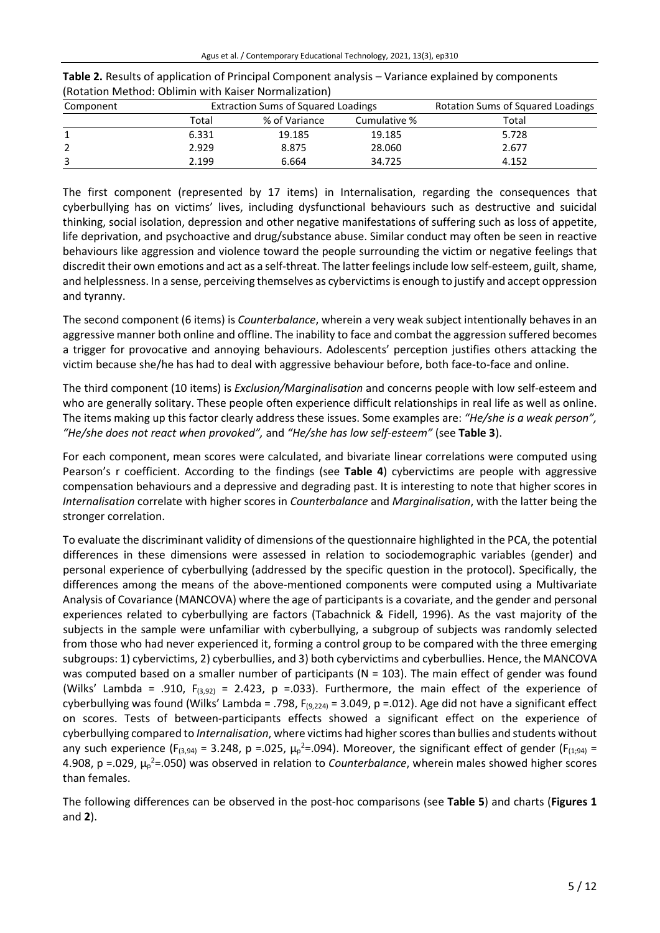| Component | <b>Extraction Sums of Squared Loadings</b> |               |              | <b>Rotation Sums of Squared Loadings</b> |  |  |
|-----------|--------------------------------------------|---------------|--------------|------------------------------------------|--|--|
|           | Total                                      | % of Variance | Cumulative % | Total                                    |  |  |
|           | 6.331                                      | 19.185        | 19.185       | 5.728                                    |  |  |
|           | 2.929                                      | 8.875         | 28.060       | 2.677                                    |  |  |
|           | 2.199                                      | 6.664         | 34.725       | 4.152                                    |  |  |

**Table 2.** Results of application of Principal Component analysis – Variance explained by components (Rotation Method: Oblimin with Kaiser Normalization)

The first component (represented by 17 items) in Internalisation, regarding the consequences that cyberbullying has on victims' lives, including dysfunctional behaviours such as destructive and suicidal thinking, social isolation, depression and other negative manifestations of suffering such as loss of appetite, life deprivation, and psychoactive and drug/substance abuse. Similar conduct may often be seen in reactive behaviours like aggression and violence toward the people surrounding the victim or negative feelings that discredit their own emotions and act as a self-threat. The latter feelings include low self-esteem, guilt, shame, and helplessness. In a sense, perceiving themselves as cybervictims is enough to justify and accept oppression and tyranny.

The second component (6 items) is *Counterbalance*, wherein a very weak subject intentionally behaves in an aggressive manner both online and offline. The inability to face and combat the aggression suffered becomes a trigger for provocative and annoying behaviours. Adolescents' perception justifies others attacking the victim because she/he has had to deal with aggressive behaviour before, both face-to-face and online.

The third component (10 items) is *Exclusion/Marginalisation* and concerns people with low self-esteem and who are generally solitary. These people often experience difficult relationships in real life as well as online. The items making up this factor clearly address these issues. Some examples are: *"He/she is a weak person", "He/she does not react when provoked",* and *"He/she has low self-esteem"* (see **Table 3**).

For each component, mean scores were calculated, and bivariate linear correlations were computed using Pearson's r coefficient. According to the findings (see **Table 4**) cybervictims are people with aggressive compensation behaviours and a depressive and degrading past. It is interesting to note that higher scores in *Internalisation* correlate with higher scores in *Counterbalance* and *Marginalisation*, with the latter being the stronger correlation.

To evaluate the discriminant validity of dimensions of the questionnaire highlighted in the PCA, the potential differences in these dimensions were assessed in relation to sociodemographic variables (gender) and personal experience of cyberbullying (addressed by the specific question in the protocol). Specifically, the differences among the means of the above-mentioned components were computed using a Multivariate Analysis of Covariance (MANCOVA) where the age of participants is a covariate, and the gender and personal experiences related to cyberbullying are factors (Tabachnick & Fidell, 1996). As the vast majority of the subjects in the sample were unfamiliar with cyberbullying, a subgroup of subjects was randomly selected from those who had never experienced it, forming a control group to be compared with the three emerging subgroups: 1) cybervictims, 2) cyberbullies, and 3) both cybervictims and cyberbullies. Hence, the MANCOVA was computed based on a smaller number of participants (N = 103). The main effect of gender was found (Wilks' Lambda = .910,  $F_{(3,92)} = 2.423$ , p =.033). Furthermore, the main effect of the experience of cyberbullying was found (Wilks' Lambda = .798,  $F_{(9,224)}$  = 3.049, p = .012). Age did not have a significant effect on scores. Tests of between-participants effects showed a significant effect on the experience of cyberbullying compared to *Internalisation*, where victims had higherscoresthan bullies and students without any such experience (F<sub>(3,94)</sub> = 3.248, p =.025,  $\mu_p^2$ =.094). Moreover, the significant effect of gender (F<sub>(1;94)</sub> = 4.908, p =.029, μ<sub>p</sub><sup>2</sup>=.050) was observed in relation to *Counterbalance*, wherein males showed higher scores than females.

The following differences can be observed in the post-hoc comparisons (see **Table 5**) and charts (**Figures 1** and **2**).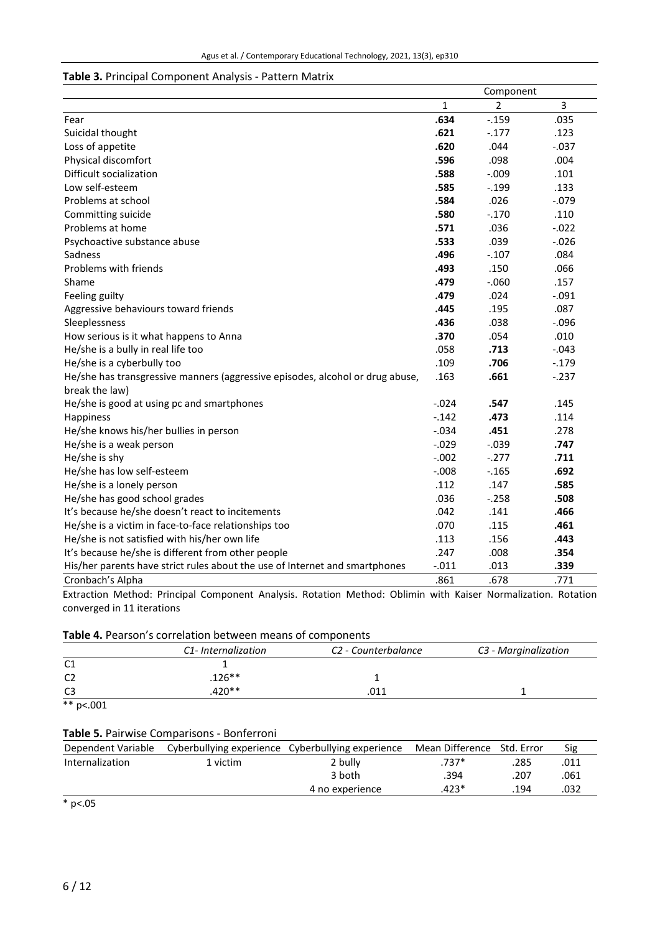## **Table 3.** Principal Component Analysis - Pattern Matrix

|                                                                               | Component    |                |          |
|-------------------------------------------------------------------------------|--------------|----------------|----------|
|                                                                               | $\mathbf{1}$ | $\overline{2}$ | 3        |
| Fear                                                                          | .634         | $-0.159$       | .035     |
| Suicidal thought                                                              | .621         | $-.177$        | .123     |
| Loss of appetite                                                              | .620         | .044           | $-0.037$ |
| Physical discomfort                                                           | .596         | .098           | .004     |
| Difficult socialization                                                       | .588         | $-.009$        | .101     |
| Low self-esteem                                                               | .585         | $-0.199$       | .133     |
| Problems at school                                                            | .584         | .026           | $-.079$  |
| Committing suicide                                                            | .580         | $-.170$        | .110     |
| Problems at home                                                              | .571         | .036           | $-0.022$ |
| Psychoactive substance abuse                                                  | .533         | .039           | $-.026$  |
| Sadness                                                                       | .496         | $-.107$        | .084     |
| Problems with friends                                                         | .493         | .150           | .066     |
| Shame                                                                         | .479         | $-0.060$       | .157     |
| Feeling guilty                                                                | .479         | .024           | $-.091$  |
| Aggressive behaviours toward friends                                          | .445         | .195           | .087     |
| Sleeplessness                                                                 | .436         | .038           | $-0.096$ |
| How serious is it what happens to Anna                                        | .370         | .054           | .010     |
| He/she is a bully in real life too                                            | .058         | .713           | $-.043$  |
| He/she is a cyberbully too                                                    | .109         | .706           | $-.179$  |
| He/she has transgressive manners (aggressive episodes, alcohol or drug abuse, | .163         | .661           | $-.237$  |
| break the law)                                                                |              |                |          |
| He/she is good at using pc and smartphones                                    | $-.024$      | .547           | .145     |
| Happiness                                                                     | $-0.142$     | .473           | .114     |
| He/she knows his/her bullies in person                                        | $-.034$      | .451           | .278     |
| He/she is a weak person                                                       | $-0.029$     | $-.039$        | .747     |
| He/she is shy                                                                 | $-.002$      | $-.277$        | .711     |
| He/she has low self-esteem                                                    | $-.008$      | $-0.165$       | .692     |
| He/she is a lonely person                                                     | .112         | .147           | .585     |
| He/she has good school grades                                                 | .036         | $-258$         | .508     |
| It's because he/she doesn't react to incitements                              | .042         | .141           | .466     |
| He/she is a victim in face-to-face relationships too                          | .070         | .115           | .461     |
| He/she is not satisfied with his/her own life                                 | .113         | .156           | .443     |
| It's because he/she is different from other people                            | .247         | .008           | .354     |
| His/her parents have strict rules about the use of Internet and smartphones   | $-.011$      | .013           | .339     |
| Cronbach's Alpha                                                              | .861         | .678           | .771     |

Extraction Method: Principal Component Analysis. Rotation Method: Oblimin with Kaiser Normalization. Rotation converged in 11 iterations

#### **Table 4.** Pearson's correlation between means of components

|                | C1- Internalization | C <sub>2</sub> - Counterbalance | C3 - Marginalization |  |
|----------------|---------------------|---------------------------------|----------------------|--|
| C <sub>1</sub> |                     |                                 |                      |  |
| C <sub>2</sub> | $126***$            |                                 |                      |  |
| C <sub>3</sub> | .420**              | n11                             |                      |  |

 $*$  p <.001

# **Table 5.** Pairwise Comparisons - Bonferroni

| Dependent Variable |          | Cyberbullying experience Cyberbullying experience | Mean Difference Std. Error |      | Sig  |
|--------------------|----------|---------------------------------------------------|----------------------------|------|------|
| Internalization    | 1 victim | 2 bully                                           | $.737*$                    | .285 | .011 |
|                    |          | 3 both                                            | .394                       | .207 | .061 |
|                    |          | 4 no experience                                   | $.423*$                    | .194 | 032. |

\* p<.05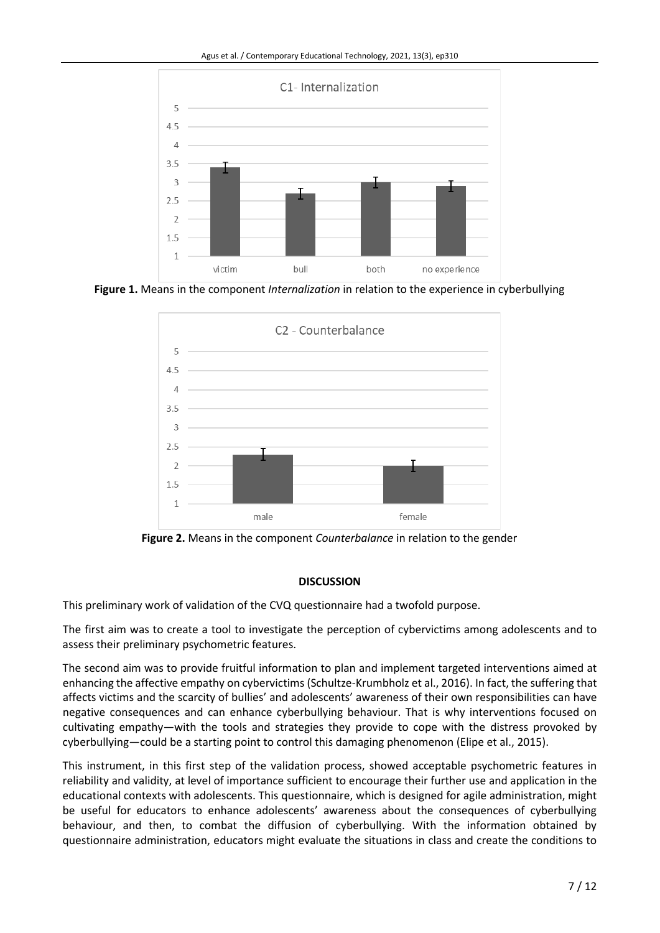

**Figure 1.** Means in the component *Internalization* in relation to the experience in cyberbullying



**Figure 2.** Means in the component *Counterbalance* in relation to the gender

# **DISCUSSION**

This preliminary work of validation of the CVQ questionnaire had a twofold purpose.

The first aim was to create a tool to investigate the perception of cybervictims among adolescents and to assess their preliminary psychometric features.

The second aim was to provide fruitful information to plan and implement targeted interventions aimed at enhancing the affective empathy on cybervictims (Schultze-Krumbholz et al., 2016). In fact, the suffering that affects victims and the scarcity of bullies' and adolescents' awareness of their own responsibilities can have negative consequences and can enhance cyberbullying behaviour. That is why interventions focused on cultivating empathy—with the tools and strategies they provide to cope with the distress provoked by cyberbullying—could be a starting point to control this damaging phenomenon (Elipe et al., 2015).

This instrument, in this first step of the validation process, showed acceptable psychometric features in reliability and validity, at level of importance sufficient to encourage their further use and application in the educational contexts with adolescents. This questionnaire, which is designed for agile administration, might be useful for educators to enhance adolescents' awareness about the consequences of cyberbullying behaviour, and then, to combat the diffusion of cyberbullying. With the information obtained by questionnaire administration, educators might evaluate the situations in class and create the conditions to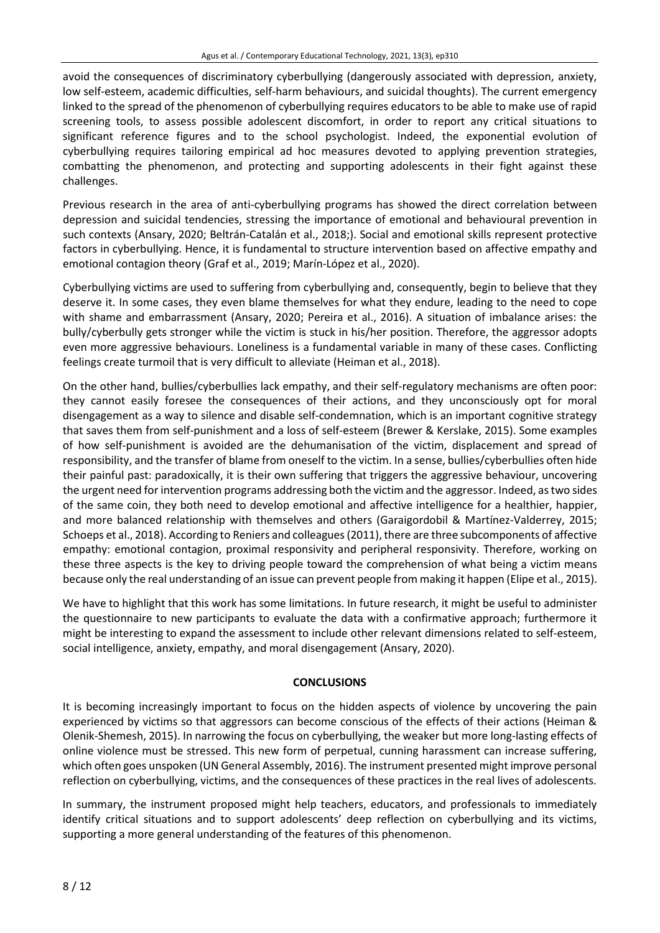avoid the consequences of discriminatory cyberbullying (dangerously associated with depression, anxiety, low self-esteem, academic difficulties, self-harm behaviours, and suicidal thoughts). The current emergency linked to the spread of the phenomenon of cyberbullying requires educators to be able to make use of rapid screening tools, to assess possible adolescent discomfort, in order to report any critical situations to significant reference figures and to the school psychologist. Indeed, the exponential evolution of cyberbullying requires tailoring empirical ad hoc measures devoted to applying prevention strategies, combatting the phenomenon, and protecting and supporting adolescents in their fight against these challenges.

Previous research in the area of anti-cyberbullying programs has showed the direct correlation between depression and suicidal tendencies, stressing the importance of emotional and behavioural prevention in such contexts (Ansary, 2020; Beltrán-Catalán et al., 2018;). Social and emotional skills represent protective factors in cyberbullying. Hence, it is fundamental to structure intervention based on affective empathy and emotional contagion theory (Graf et al., 2019; Marín-López et al., 2020).

Cyberbullying victims are used to suffering from cyberbullying and, consequently, begin to believe that they deserve it. In some cases, they even blame themselves for what they endure, leading to the need to cope with shame and embarrassment (Ansary, 2020; Pereira et al., 2016). A situation of imbalance arises: the bully/cyberbully gets stronger while the victim is stuck in his/her position. Therefore, the aggressor adopts even more aggressive behaviours. Loneliness is a fundamental variable in many of these cases. Conflicting feelings create turmoil that is very difficult to alleviate (Heiman et al., 2018).

On the other hand, bullies/cyberbullies lack empathy, and their self-regulatory mechanisms are often poor: they cannot easily foresee the consequences of their actions, and they unconsciously opt for moral disengagement as a way to silence and disable self-condemnation, which is an important cognitive strategy that saves them from self-punishment and a loss of self-esteem (Brewer & Kerslake, 2015). Some examples of how self-punishment is avoided are the dehumanisation of the victim, displacement and spread of responsibility, and the transfer of blame from oneself to the victim. In a sense, bullies/cyberbullies often hide their painful past: paradoxically, it is their own suffering that triggers the aggressive behaviour, uncovering the urgent need for intervention programs addressing both the victim and the aggressor. Indeed, astwo sides of the same coin, they both need to develop emotional and affective intelligence for a healthier, happier, and more balanced relationship with themselves and others (Garaigordobil & Martínez-Valderrey, 2015; Schoeps et al., 2018). According to Reniers and colleagues (2011), there are three subcomponents of affective empathy: emotional contagion, proximal responsivity and peripheral responsivity. Therefore, working on these three aspects is the key to driving people toward the comprehension of what being a victim means because only the real understanding of an issue can prevent people from making it happen (Elipe et al., 2015).

We have to highlight that this work has some limitations. In future research, it might be useful to administer the questionnaire to new participants to evaluate the data with a confirmative approach; furthermore it might be interesting to expand the assessment to include other relevant dimensions related to self-esteem, social intelligence, anxiety, empathy, and moral disengagement (Ansary, 2020).

# **CONCLUSIONS**

It is becoming increasingly important to focus on the hidden aspects of violence by uncovering the pain experienced by victims so that aggressors can become conscious of the effects of their actions (Heiman & Olenik-Shemesh, 2015). In narrowing the focus on cyberbullying, the weaker but more long-lasting effects of online violence must be stressed. This new form of perpetual, cunning harassment can increase suffering, which often goes unspoken (UN General Assembly, 2016). The instrument presented might improve personal reflection on cyberbullying, victims, and the consequences of these practices in the real lives of adolescents.

In summary, the instrument proposed might help teachers, educators, and professionals to immediately identify critical situations and to support adolescents' deep reflection on cyberbullying and its victims, supporting a more general understanding of the features of this phenomenon.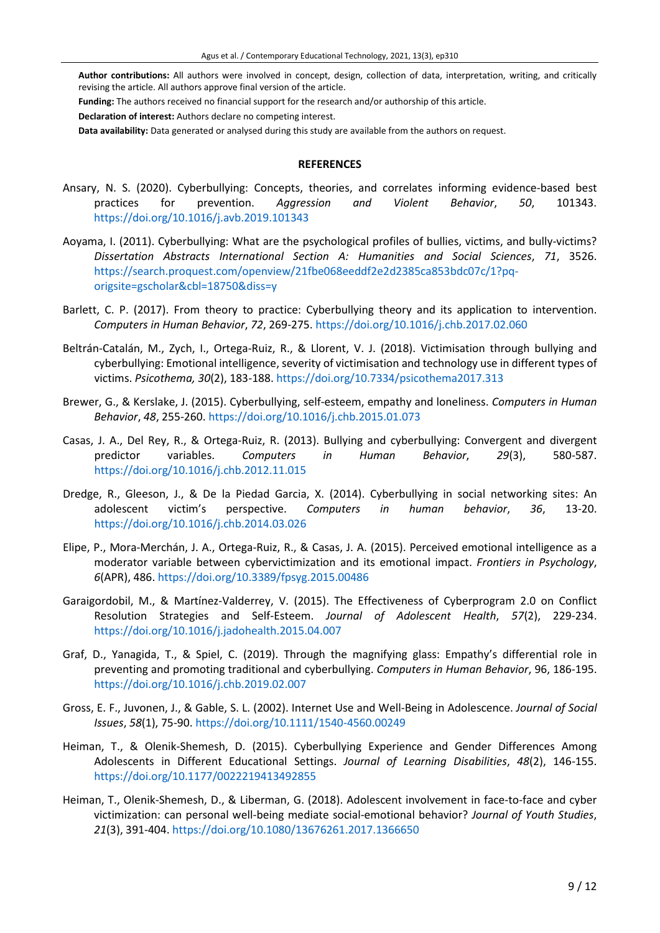**Author contributions:** All authors were involved in concept, design, collection of data, interpretation, writing, and critically revising the article. All authors approve final version of the article.

**Funding:** The authors received no financial support for the research and/or authorship of this article.

**Declaration of interest:** Authors declare no competing interest.

**Data availability:** Data generated or analysed during this study are available from the authors on request.

#### **REFERENCES**

- Ansary, N. S. (2020). Cyberbullying: Concepts, theories, and correlates informing evidence-based best practices for prevention. *Aggression and Violent Behavior*, *50*, 101343. <https://doi.org/10.1016/j.avb.2019.101343>
- Aoyama, I. (2011). Cyberbullying: What are the psychological profiles of bullies, victims, and bully-victims? *Dissertation Abstracts International Section A: Humanities and Social Sciences*, *71*, 3526. [https://search.proquest.com/openview/21fbe068eeddf2e2d2385ca853bdc07c/1?pq](https://search.proquest.com/openview/21fbe068eeddf2e2d2385ca853bdc07c/1?pq-origsite=gscholar&cbl=18750&diss=y)[origsite=gscholar&cbl=18750&diss=y](https://search.proquest.com/openview/21fbe068eeddf2e2d2385ca853bdc07c/1?pq-origsite=gscholar&cbl=18750&diss=y)
- Barlett, C. P. (2017). From theory to practice: Cyberbullying theory and its application to intervention. *Computers in Human Behavior*, *72*, 269-275. <https://doi.org/10.1016/j.chb.2017.02.060>
- Beltrán-Catalán, M., Zych, I., Ortega-Ruiz, R., & Llorent, V. J. (2018). Victimisation through bullying and cyberbullying: Emotional intelligence, severity of victimisation and technology use in different types of victims. *Psicothema, 30*(2), 183-188. <https://doi.org/10.7334/psicothema2017.313>
- Brewer, G., & Kerslake, J. (2015). Cyberbullying, self-esteem, empathy and loneliness. *Computers in Human Behavior*, *48*, 255-260. <https://doi.org/10.1016/j.chb.2015.01.073>
- Casas, J. A., Del Rey, R., & Ortega-Ruiz, R. (2013). Bullying and cyberbullying: Convergent and divergent predictor variables. *Computers in Human Behavior*, *29*(3), 580-587. <https://doi.org/10.1016/j.chb.2012.11.015>
- Dredge, R., Gleeson, J., & De la Piedad Garcia, X. (2014). Cyberbullying in social networking sites: An adolescent victim's perspective. *Computers in human behavior*, *36*, 13-20. <https://doi.org/10.1016/j.chb.2014.03.026>
- Elipe, P., Mora-Merchán, J. A., Ortega-Ruiz, R., & Casas, J. A. (2015). Perceived emotional intelligence as a moderator variable between cybervictimization and its emotional impact. *Frontiers in Psychology*, *6*(APR), 486. <https://doi.org/10.3389/fpsyg.2015.00486>
- Garaigordobil, M., & Martínez-Valderrey, V. (2015). The Effectiveness of Cyberprogram 2.0 on Conflict Resolution Strategies and Self-Esteem. *Journal of Adolescent Health*, *57*(2), 229-234. <https://doi.org/10.1016/j.jadohealth.2015.04.007>
- Graf, D., Yanagida, T., & Spiel, C. (2019). Through the magnifying glass: Empathy's differential role in preventing and promoting traditional and cyberbullying. *Computers in Human Behavior*, 96, 186-195. <https://doi.org/10.1016/j.chb.2019.02.007>
- Gross, E. F., Juvonen, J., & Gable, S. L. (2002). Internet Use and Well-Being in Adolescence. *Journal of Social Issues*, *58*(1), 75-90. <https://doi.org/10.1111/1540-4560.00249>
- Heiman, T., & Olenik-Shemesh, D. (2015). Cyberbullying Experience and Gender Differences Among Adolescents in Different Educational Settings. *Journal of Learning Disabilities*, *48*(2), 146-155. <https://doi.org/10.1177/0022219413492855>
- Heiman, T., Olenik-Shemesh, D., & Liberman, G. (2018). Adolescent involvement in face-to-face and cyber victimization: can personal well-being mediate social-emotional behavior? *Journal of Youth Studies*, *21*(3), 391-404. <https://doi.org/10.1080/13676261.2017.1366650>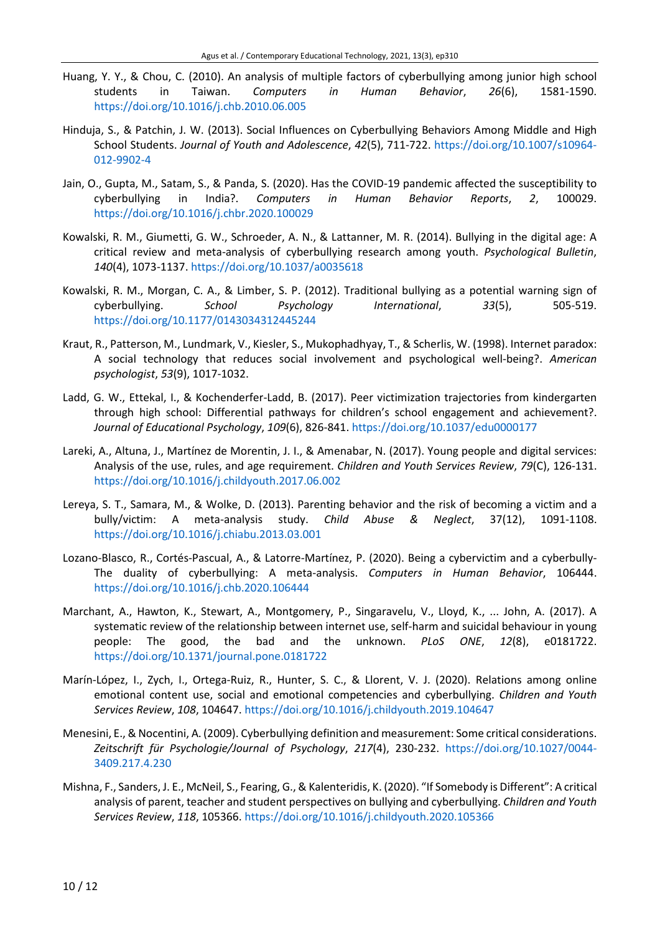- Huang, Y. Y., & Chou, C. (2010). An analysis of multiple factors of cyberbullying among junior high school students in Taiwan. *Computers in Human Behavior*, *26*(6), 1581-1590. <https://doi.org/10.1016/j.chb.2010.06.005>
- Hinduja, S., & Patchin, J. W. (2013). Social Influences on Cyberbullying Behaviors Among Middle and High School Students. *Journal of Youth and Adolescence*, *42*(5), 711-722. [https://doi.org/10.1007/s10964-](https://doi.org/10.1007/s10964-012-9902-4) [012-9902-4](https://doi.org/10.1007/s10964-012-9902-4)
- Jain, O., Gupta, M., Satam, S., & Panda, S. (2020). Has the COVID-19 pandemic affected the susceptibility to cyberbullying in India?. *Computers in Human Behavior Reports*, *2*, 100029. <https://doi.org/10.1016/j.chbr.2020.100029>
- Kowalski, R. M., Giumetti, G. W., Schroeder, A. N., & Lattanner, M. R. (2014). Bullying in the digital age: A critical review and meta-analysis of cyberbullying research among youth. *Psychological Bulletin*, *140*(4), 1073-1137. <https://doi.org/10.1037/a0035618>
- Kowalski, R. M., Morgan, C. A., & Limber, S. P. (2012). Traditional bullying as a potential warning sign of cyberbullying. *School Psychology International*, *33*(5), 505-519. <https://doi.org/10.1177/0143034312445244>
- Kraut, R., Patterson, M., Lundmark, V., Kiesler, S., Mukophadhyay, T., & Scherlis, W. (1998). Internet paradox: A social technology that reduces social involvement and psychological well-being?. *American psychologist*, *53*(9), 1017-1032.
- Ladd, G. W., Ettekal, I., & Kochenderfer-Ladd, B. (2017). Peer victimization trajectories from kindergarten through high school: Differential pathways for children's school engagement and achievement?. *Journal of Educational Psychology*, *109*(6), 826-841. <https://doi.org/10.1037/edu0000177>
- Lareki, A., Altuna, J., Martínez de Morentin, J. I., & Amenabar, N. (2017). Young people and digital services: Analysis of the use, rules, and age requirement. *Children and Youth Services Review*, *79*(C), 126-131. <https://doi.org/10.1016/j.childyouth.2017.06.002>
- Lereya, S. T., Samara, M., & Wolke, D. (2013). Parenting behavior and the risk of becoming a victim and a bully/victim: A meta-analysis study. *Child Abuse & Neglect*, 37(12), 1091-1108. <https://doi.org/10.1016/j.chiabu.2013.03.001>
- Lozano-Blasco, R., Cortés-Pascual, A., & Latorre-Martínez, P. (2020). Being a cybervictim and a cyberbully-The duality of cyberbullying: A meta-analysis. *Computers in Human Behavior*, 106444. <https://doi.org/10.1016/j.chb.2020.106444>
- Marchant, A., Hawton, K., Stewart, A., Montgomery, P., Singaravelu, V., Lloyd, K., ... John, A. (2017). A systematic review of the relationship between internet use, self-harm and suicidal behaviour in young people: The good, the bad and the unknown. *PLoS ONE*, *12*(8), e0181722. <https://doi.org/10.1371/journal.pone.0181722>
- Marín-López, I., Zych, I., Ortega-Ruiz, R., Hunter, S. C., & Llorent, V. J. (2020). Relations among online emotional content use, social and emotional competencies and cyberbullying. *Children and Youth Services Review*, *108*, 104647. <https://doi.org/10.1016/j.childyouth.2019.104647>
- Menesini, E., & Nocentini, A. (2009). Cyberbullying definition and measurement: Some critical considerations. *Zeitschrift für Psychologie/Journal of Psychology*, *217*(4), 230-232. [https://doi.org/10.1027/0044-](https://doi.org/10.1027/0044-3409.217.4.230) [3409.217.4.230](https://doi.org/10.1027/0044-3409.217.4.230)
- Mishna, F., Sanders, J. E., McNeil, S., Fearing, G., & Kalenteridis, K. (2020). "If Somebody is Different": A critical analysis of parent, teacher and student perspectives on bullying and cyberbullying. *Children and Youth Services Review*, *118*, 105366. <https://doi.org/10.1016/j.childyouth.2020.105366>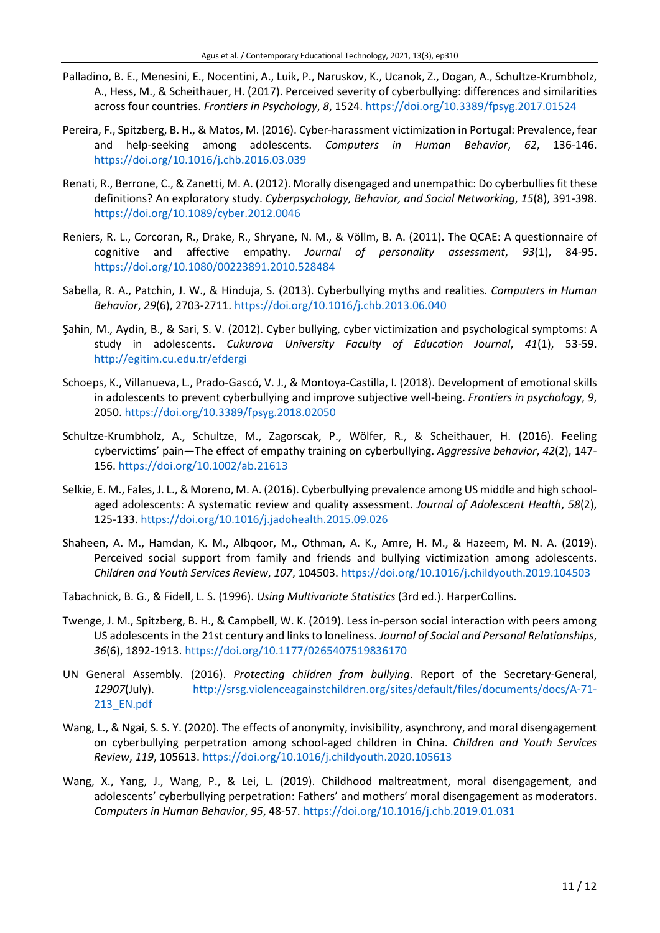- Palladino, B. E., Menesini, E., Nocentini, A., Luik, P., Naruskov, K., Ucanok, Z., Dogan, A., Schultze-Krumbholz, A., Hess, M., & Scheithauer, H. (2017). Perceived severity of cyberbullying: differences and similarities across four countries. *Frontiers in Psychology*, *8*, 1524. <https://doi.org/10.3389/fpsyg.2017.01524>
- Pereira, F., Spitzberg, B. H., & Matos, M. (2016). Cyber-harassment victimization in Portugal: Prevalence, fear and help-seeking among adolescents. *Computers in Human Behavior*, *62*, 136-146. <https://doi.org/10.1016/j.chb.2016.03.039>
- Renati, R., Berrone, C., & Zanetti, M. A. (2012). Morally disengaged and unempathic: Do cyberbullies fit these definitions? An exploratory study. *Cyberpsychology, Behavior, and Social Networking*, *15*(8), 391-398. <https://doi.org/10.1089/cyber.2012.0046>
- Reniers, R. L., Corcoran, R., Drake, R., Shryane, N. M., & Völlm, B. A. (2011). The QCAE: A questionnaire of cognitive and affective empathy. *Journal of personality assessment*, *93*(1), 84-95. <https://doi.org/10.1080/00223891.2010.528484>
- Sabella, R. A., Patchin, J. W., & Hinduja, S. (2013). Cyberbullying myths and realities. *Computers in Human Behavior*, *29*(6), 2703-2711. <https://doi.org/10.1016/j.chb.2013.06.040>
- Şahin, M., Aydin, B., & Sari, S. V. (2012). Cyber bullying, cyber victimization and psychological symptoms: A study in adolescents. *Cukurova University Faculty of Education Journal*, *41*(1), 53-59. <http://egitim.cu.edu.tr/efdergi>
- Schoeps, K., Villanueva, L., Prado-Gascó, V. J., & Montoya-Castilla, I. (2018). Development of emotional skills in adolescents to prevent cyberbullying and improve subjective well-being. *Frontiers in psychology*, *9*, 2050. <https://doi.org/10.3389/fpsyg.2018.02050>
- Schultze-Krumbholz, A., Schultze, M., Zagorscak, P., Wölfer, R., & Scheithauer, H. (2016). Feeling cybervictims' pain—The effect of empathy training on cyberbullying. *Aggressive behavior*, *42*(2), 147- 156. <https://doi.org/10.1002/ab.21613>
- Selkie, E. M., Fales, J. L., & Moreno, M. A. (2016). Cyberbullying prevalence among US middle and high schoolaged adolescents: A systematic review and quality assessment. *Journal of Adolescent Health*, *58*(2), 125-133. <https://doi.org/10.1016/j.jadohealth.2015.09.026>
- Shaheen, A. M., Hamdan, K. M., Albqoor, M., Othman, A. K., Amre, H. M., & Hazeem, M. N. A. (2019). Perceived social support from family and friends and bullying victimization among adolescents. *Children and Youth Services Review*, *107*, 104503. <https://doi.org/10.1016/j.childyouth.2019.104503>
- Tabachnick, B. G., & Fidell, L. S. (1996). *Using Multivariate Statistics* (3rd ed.). HarperCollins.
- Twenge, J. M., Spitzberg, B. H., & Campbell, W. K. (2019). Less in-person social interaction with peers among US adolescents in the 21st century and links to loneliness. *Journal of Social and Personal Relationships*, *36*(6), 1892-1913. <https://doi.org/10.1177/0265407519836170>
- UN General Assembly. (2016). *Protecting children from bullying*. Report of the Secretary-General, *12907*(July). [http://srsg.violenceagainstchildren.org/sites/default/files/documents/docs/A-71-](http://srsg.violenceagainstchildren.org/sites/default/files/documents/docs/A-71-213_EN.pdf) [213\\_EN.pdf](http://srsg.violenceagainstchildren.org/sites/default/files/documents/docs/A-71-213_EN.pdf)
- Wang, L., & Ngai, S. S. Y. (2020). The effects of anonymity, invisibility, asynchrony, and moral disengagement on cyberbullying perpetration among school-aged children in China. *Children and Youth Services Review*, *119*, 105613. <https://doi.org/10.1016/j.childyouth.2020.105613>
- Wang, X., Yang, J., Wang, P., & Lei, L. (2019). Childhood maltreatment, moral disengagement, and adolescents' cyberbullying perpetration: Fathers' and mothers' moral disengagement as moderators. *Computers in Human Behavior*, *95*, 48-57. <https://doi.org/10.1016/j.chb.2019.01.031>